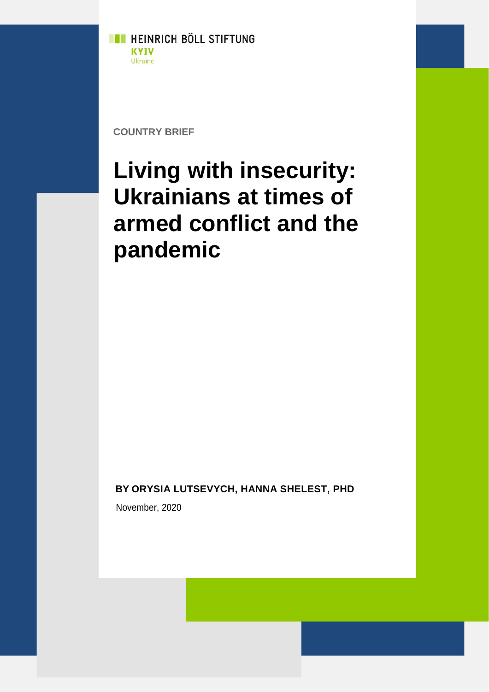

**COUNTRY BRIEF**

# **Living with insecurity: Ukrainians at times of armed conflict and the pandemic**

**BY ORYSIA LUTSEVYCH, HANNA SHELEST, PHD**

November, 2020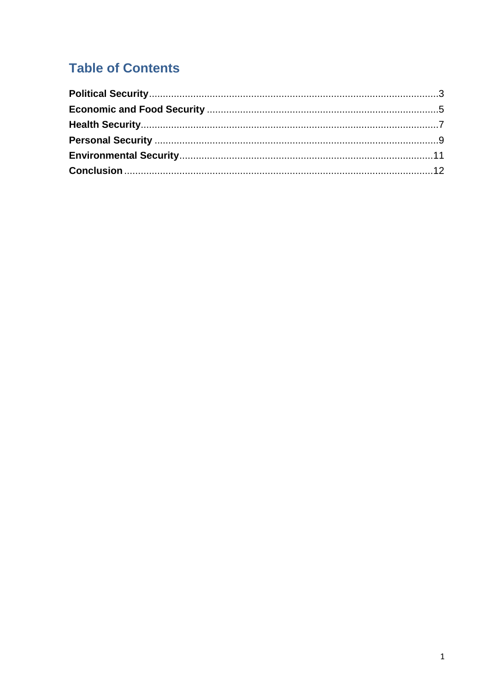## **Table of Contents**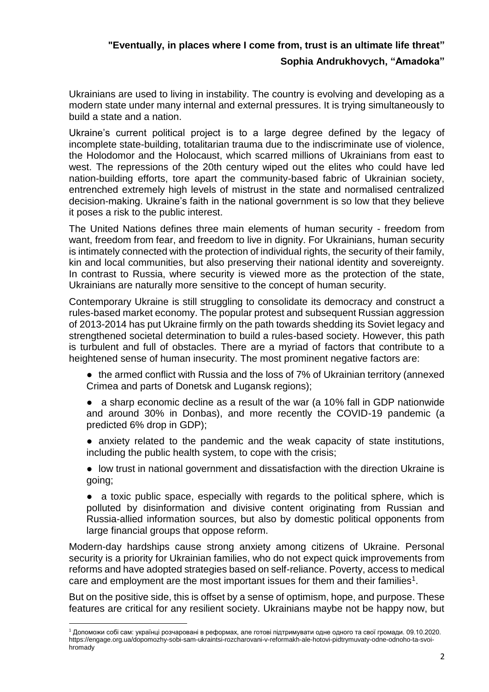### **"Eventually, in places where I come from, trust is an ultimate life threat" Sophia Andrukhovych, "Amadoka"**

Ukrainians are used to living in instability. The country is evolving and developing as a modern state under many internal and external pressures. It is trying simultaneously to build a state and a nation.

Ukraine's current political project is to a large degree defined by the legacy of incomplete state-building, totalitarian trauma due to the indiscriminate use of violence, the Holodomor and the Holocaust, which scarred millions of Ukrainians from east to west. The repressions of the 20th century wiped out the elites who could have led nation-building efforts, tore apart the community-based fabric of Ukrainian society, entrenched extremely high levels of mistrust in the state and normalised centralized decision-making. Ukraine's faith in the national government is so low that they believe it poses a risk to the public interest.

The United Nations defines three main elements of human security - freedom from want, freedom from fear, and freedom to live in dignity. For Ukrainians, human security is intimately connected with the protection of individual rights, the security of their family, kin and local communities, but also preserving their national identity and sovereignty. In contrast to Russia, where security is viewed more as the protection of the state, Ukrainians are naturally more sensitive to the concept of human security.

Contemporary Ukraine is still struggling to consolidate its democracy and construct a rules-based market economy. The popular protest and subsequent Russian aggression of 2013-2014 has put Ukraine firmly on the path towards shedding its Soviet legacy and strengthened societal determination to build a rules-based society. However, this path is turbulent and full of obstacles. There are a myriad of factors that contribute to a heightened sense of human insecurity. The most prominent negative factors are:

• the armed conflict with Russia and the loss of 7% of Ukrainian territory (annexed Crimea and parts of Donetsk and Lugansk regions);

- a sharp economic decline as a result of the war (a 10% fall in GDP nationwide and around 30% in Donbas), and more recently the COVID-19 pandemic (a predicted 6% drop in GDP);
- anxiety related to the pandemic and the weak capacity of state institutions, including the public health system, to cope with the crisis;

● low trust in national government and dissatisfaction with the direction Ukraine is going;

• a toxic public space, especially with regards to the political sphere, which is polluted by disinformation and divisive content originating from Russian and Russia-allied information sources, but also by domestic political opponents from large financial groups that oppose reform.

Modern-day hardships cause strong anxiety among citizens of Ukraine. Personal security is a priority for Ukrainian families, who do not expect quick improvements from reforms and have adopted strategies based on self-reliance. Poverty, access to medical care and employment are the most important issues for them and their families<sup>1</sup>.

But on the positive side, this is offset by a sense of optimism, hope, and purpose. These features are critical for any resilient society. Ukrainians maybe not be happy now, but

 $\overline{a}$ <sup>1</sup> Допоможи собі сам: українці розчаровані в реформах, але готові підтримувати одне одного та свої громади. 09.10.2020. https://engage.org.ua/dopomozhy-sobi-sam-ukraintsi-rozcharovani-v-reformakh-ale-hotovi-pidtrymuvaty-odne-odnoho-ta-svoihromady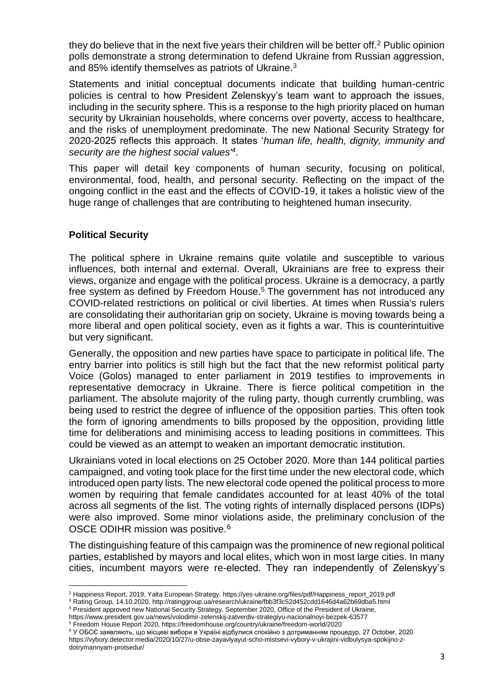they do believe that in the next five years their children will be better off.<sup>2</sup> Public opinion polls demonstrate a strong determination to defend Ukraine from Russian aggression, and 85% identify themselves as patriots of Ukraine.<sup>3</sup>

Statements and initial conceptual documents indicate that building human-centric policies is central to how President Zelenskyy's team want to approach the issues, including in the security sphere. This is a response to the high priority placed on human security by Ukrainian households, where concerns over poverty, access to healthcare, and the risks of unemployment predominate. The new National Security Strategy for 2020-2025 reflects this approach. It states '*human life, health, dignity, immunity and security are the highest social values'<sup>4</sup>* .

This paper will detail key components of human security, focusing on political, environmental, food, health, and personal security. Reflecting on the impact of the ongoing conflict in the east and the effects of COVID-19, it takes a holistic view of the huge range of challenges that are contributing to heightened human insecurity.

#### <span id="page-3-0"></span>**Political Security**

The political sphere in Ukraine remains quite volatile and susceptible to various influences, both internal and external. Overall, Ukrainians are free to express their views, organize and engage with the political process. Ukraine is a democracy, a partly free system as defined by Freedom House.<sup>5</sup> The government has not introduced any COVID-related restrictions on political or civil liberties. At times when Russia's rulers are consolidating their authoritarian grip on society, Ukraine is moving towards being a more liberal and open political society, even as it fights a war. This is counterintuitive but very significant.

Generally, the opposition and new parties have space to participate in political life. The entry barrier into politics is still high but the fact that the new reformist political party Voice (Golos) managed to enter parliament in 2019 testifies to improvements in representative democracy in Ukraine. There is fierce political competition in the parliament. The absolute majority of the ruling party, though currently crumbling, was being used to restrict the degree of influence of the opposition parties. This often took the form of ignoring amendments to bills proposed by the opposition, providing little time for deliberations and minimising access to leading positions in committees. This could be viewed as an attempt to weaken an important democratic institution.

Ukrainians voted in local elections on 25 October 2020. More than 144 political parties campaigned, and voting took place for the first time under the new electoral code, which introduced open party lists. The new electoral code opened the political process to more women by requiring that female candidates accounted for at least 40% of the total across all segments of the list. The voting rights of internally displaced persons (IDPs) were also improved. Some minor violations aside, the preliminary conclusion of the OSCE ODIHR mission was positive.<sup>6</sup>

The distinguishing feature of this campaign was the prominence of new regional political parties, established by mayors and local elites, which won in most large cities. In many cities, incumbent mayors were re-elected. They ran independently of Zelenskyy's

<sup>-</sup><sup>2</sup> Happiness Report, 2019, Yalta European Strategy. https://yes-ukraine.org/files/pdf/Happiness\_report\_2019.pdf

<sup>3</sup> Rating Group, 14.10.2020, http://ratinggroup.ua/research/ukraine/fbb3f3c52d452cdd1646d4a62b69dba5.html

<sup>4</sup> President approved new National Security Strategy, September 2020, Office of the President of Ukraine,

https://www.president.gov.ua/news/volodimir-zelenskij-zatverdiv-strategiyu-nacionalnoyi-bezpek-63577

<sup>5</sup> Freedom House Report 2020, https://freedomhouse.org/country/ukraine/freedom-world/2020

<sup>6</sup> У ОБСЄ заявляють, що місцеві вибори в Україні відбулися спокійно з дотриманням процедур, 27 October, 2020 https://vybory.detector.media/2020/10/27/u-obse-zayavlyayut-scho-mistsevi-vybory-v-ukrajini-vidbulysya-spokijno-zdotrymannyam-protsedur/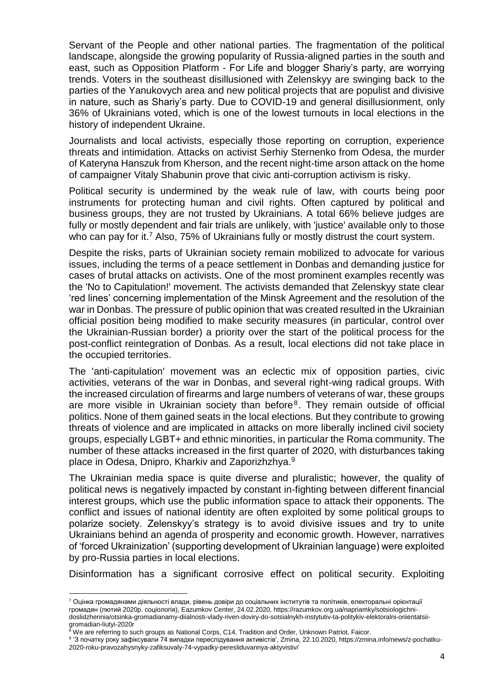Servant of the People and other national parties. The fragmentation of the political landscape, alongside the growing popularity of Russia-aligned parties in the south and east, such as Opposition Platform - For Life and blogger Shariy's party, are worrying trends. Voters in the southeast disillusioned with Zelenskyy are swinging back to the parties of the Yanukovych area and new political projects that are populist and divisive in nature, such as Shariy's party. Due to COVID-19 and general disillusionment, only 36% of Ukrainians voted, which is one of the lowest turnouts in local elections in the history of independent Ukraine.

Journalists and local activists, especially those reporting on corruption, experience threats and intimidation. Attacks on activist Serhiy Sternenko from Odesa, the murder of Kateryna Hanszuk from Kherson, and the recent night-time arson attack on the home of campaigner Vitaly Shabunin prove that civic anti-corruption activism is risky.

Political security is undermined by the weak rule of law, with courts being poor instruments for protecting human and civil rights. Often captured by political and business groups, they are not trusted by Ukrainians. A total 66% believe judges are fully or mostly dependent and fair trials are unlikely, with 'justice' available only to those who can pay for it.<sup>7</sup> Also, 75% of Ukrainians fully or mostly distrust the court system.

Despite the risks, parts of Ukrainian society remain mobilized to advocate for various issues, including the terms of a peace settlement in Donbas and demanding justice for cases of brutal attacks on activists. One of the most prominent examples recently was the 'No to Capitulation!' movement. The activists demanded that Zelenskyy state clear 'red lines' concerning implementation of the Minsk Agreement and the resolution of the war in Donbas. The pressure of public opinion that was created resulted in the Ukrainian official position being modified to make security measures (in particular, control over the Ukrainian-Russian border) a priority over the start of the political process for the post-conflict reintegration of Donbas. As a result, local elections did not take place in the occupied territories.

The 'anti-capitulation' movement was an eclectic mix of opposition parties, civic activities, veterans of the war in Donbas, and several right-wing radical groups. With the increased circulation of firearms and large numbers of veterans of war, these groups are more visible in Ukrainian society than before<sup>8</sup>. They remain outside of official politics. None of them gained seats in the local elections. But they contribute to growing threats of violence and are implicated in attacks on more liberally inclined civil society groups, especially LGBT+ and ethnic minorities, in particular the Roma community. The number of these attacks increased in the first quarter of 2020, with disturbances taking place in Odesa, Dnipro, Kharkiv and Zaporizhzhya.<sup>9</sup>

The Ukrainian media space is quite diverse and pluralistic; however, the quality of political news is negatively impacted by constant in-fighting between different financial interest groups, which use the public information space to attack their opponents. The conflict and issues of national identity are often exploited by some political groups to polarize society. Zelenskyy's strategy is to avoid divisive issues and try to unite Ukrainians behind an agenda of prosperity and economic growth. However, narratives of 'forced Ukrainization' (supporting development of Ukrainian language) were exploited by pro-Russia parties in local elections.

Disinformation has a significant corrosive effect on political security. Exploiting

 $\overline{a}$ 

<sup>7</sup> Оцінка громадянами діяльності влади, рівень довіри до соціальних інститутів та політиків, електоральні орієнтації громадян (лютий 2020р. соціологія), Eazumkov Center, 24.02.2020, https://razumkov.org.ua/napriamky/sotsiologichnidoslidzhennia/otsinka-gromadianamy-diialnosti-vlady-riven-doviry-do-sotsialnykh-instytutiv-ta-politykiv-elektoralni-oriientatsiigromadian-liutyi-2020r

 $8$  We are referring to such groups as National Corps, C14, Tradition and Order, Unknown Patriot, Faicor.

<sup>9</sup> 'З початку року зафіксували 74 випадки переслідування активістів', Zmina, 22.10.2020, https://zmina.info/news/z-pochatku-2020-roku-pravozahysnyky-zafiksuvaly-74-vypadky-peresliduvannya-aktyvistiv/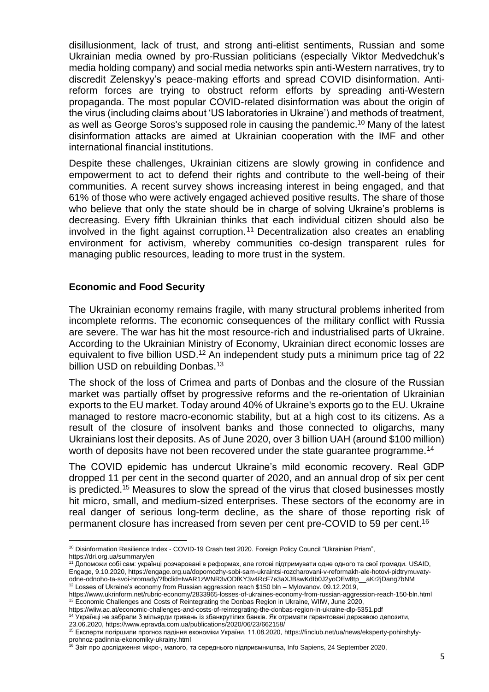disillusionment, lack of trust, and strong anti-elitist sentiments, Russian and some Ukrainian media owned by pro-Russian politicians (especially Viktor Medvedchuk's media holding company) and social media networks spin anti-Western narratives, try to discredit Zelenskyy's peace-making efforts and spread COVID disinformation. Antireform forces are trying to obstruct reform efforts by spreading anti-Western propaganda. The most popular COVID-related disinformation was about the origin of the virus (including claims about 'US laboratories in Ukraine') and methods of treatment, as well as George Soros's supposed role in causing the pandemic.<sup>10</sup> Many of the latest disinformation attacks are aimed at Ukrainian cooperation with the IMF and other international financial institutions.

Despite these challenges, Ukrainian citizens are slowly growing in confidence and empowerment to act to defend their rights and contribute to the well-being of their communities. A recent survey shows increasing interest in being engaged, and that 61% of those who were actively engaged achieved positive results. The share of those who believe that only the state should be in charge of solving Ukraine's problems is decreasing. Every fifth Ukrainian thinks that each individual citizen should also be involved in the fight against corruption.<sup>11</sup> Decentralization also creates an enabling environment for activism, whereby communities co-design transparent rules for managing public resources, leading to more trust in the system.

#### <span id="page-5-0"></span>**Economic and Food Security**

The Ukrainian economy remains fragile, with many structural problems inherited from incomplete reforms. The economic consequences of the military conflict with Russia are severe. The war has hit the most resource-rich and industrialised parts of Ukraine. According to the Ukrainian Ministry of Economy, Ukrainian direct economic losses are equivalent to five billion USD.<sup>12</sup> An independent study puts a minimum price tag of 22 billion USD on rebuilding Donbas.<sup>13</sup>

The shock of the loss of Crimea and parts of Donbas and the closure of the Russian market was partially offset by progressive reforms and the re-orientation of Ukrainian exports to the EU market. Today around 40% of Ukraine's exports go to the EU. Ukraine managed to restore macro-economic stability, but at a high cost to its citizens. As a result of the closure of insolvent banks and those connected to oligarchs, many Ukrainians lost their deposits. As of June 2020, over 3 billion UAH (around \$100 million) worth of deposits have not been recovered under the state guarantee programme.<sup>14</sup>

The COVID epidemic has undercut Ukraine's mild economic recovery. Real GDP dropped 11 per cent in the second quarter of 2020, and an annual drop of six per cent is predicted.<sup>15</sup> Measures to slow the spread of the virus that closed businesses mostly hit micro, small, and medium-sized enterprises. These sectors of the economy are in real danger of serious long-term decline, as the share of those reporting risk of permanent closure has increased from seven per cent pre-COVID to 59 per cent.<sup>16</sup>

<sup>-</sup><sup>10</sup> Disinformation Resilience Index - COVID-19 Crash test 2020. Foreign Policy Council "Ukrainian Prism", https://dri.org.ua/summary/en

<sup>11</sup> Допоможи собі сам: українці розчаровані в реформах, але готові підтримувати одне одного та свої громади. USAID, Engage, 9.10.2020, https://engage.org.ua/dopomozhy-sobi-sam-ukraintsi-rozcharovani-v-reformakh-ale-hotovi-pidtrymuvaty-

odne-odnoho-ta-svoi-hromady/?fbclid=IwAR1zWNR3vODfKY3v4RcF7e3aXJBswKdIb0J2yoOEw8tp\_\_aKr2jDang7bNM <sup>12</sup> Losses of Ukraine's economy from Russian aggression reach \$150 bln - Mylovanov. 09.12.2019,

https://www.ukrinform.net/rubric-economy/2833965-losses-of-ukraines-economy-from-russian-aggression-reach-150-bln.html <sup>13</sup> Economic Challenges and Costs of Reintegrating the Donbas Region in Ukraine, WIIW, June 2020,

https://wiiw.ac.at/economic-challenges-and-costs-of-reintegrating-the-donbas-region-in-ukraine-dlp-5351.pdf

<sup>14</sup> Українці не забрали 3 мільярди гривень із збанкрутілих банків. Як отримати гарантовані державою депозити, 23.06.2020, https://www.epravda.com.ua/publications/2020/06/23/662158/

<sup>15</sup> Експерти погіршили прогноз падіння економіки України. 11.08.2020, https://finclub.net/ua/news/eksperty-pohirshylyprohnoz-padinnia-ekonomiky-ukrainy.html

 $^{16}$  Звіт про дослідження мікро-, малого, та середнього підприємництва, Info Sapiens, 24 September 2020,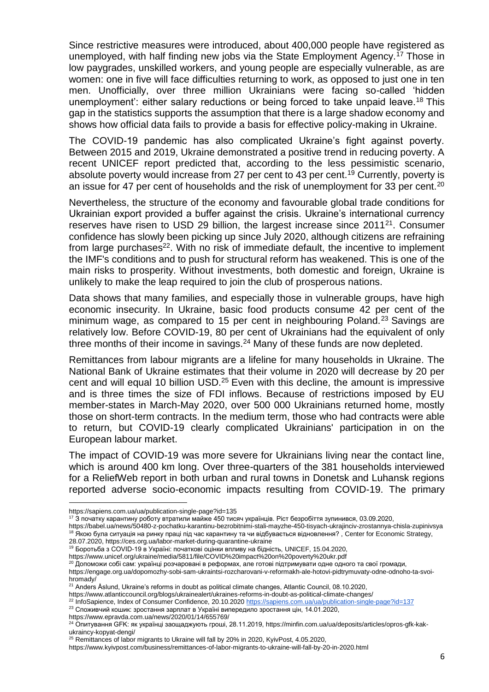Since restrictive measures were introduced, about 400,000 people have registered as unemployed, with half finding new jobs via the State Employment Agency.<sup>17</sup> Those in low paygrades, unskilled workers, and young people are especially vulnerable, as are women: one in five will face difficulties returning to work, as opposed to just one in ten men. Unofficially, over three million Ukrainians were facing so-called 'hidden unemployment': either salary reductions or being forced to take unpaid leave.<sup>18</sup> This gap in the statistics supports the assumption that there is a large shadow economy and shows how official data fails to provide a basis for effective policy-making in Ukraine.

The COVID-19 pandemic has also complicated Ukraine's fight against poverty. Between 2015 and 2019, Ukraine demonstrated a positive trend in reducing poverty. A recent UNICEF report predicted that, according to the less pessimistic scenario, absolute poverty would increase from 27 per cent to 43 per cent.<sup>19</sup> Currently, poverty is an issue for 47 per cent of households and the risk of unemployment for 33 per cent.<sup>20</sup>

Nevertheless, the structure of the economy and favourable global trade conditions for Ukrainian export provided a buffer against the crisis. Ukraine's international currency reserves have risen to USD 29 billion, the largest increase since 2011<sup>21</sup>. Consumer confidence has slowly been picking up since July 2020, although citizens are refraining from large purchases<sup>22</sup>. With no risk of immediate default, the incentive to implement the IMF's conditions and to push for structural reform has weakened. This is one of the main risks to prosperity. Without investments, both domestic and foreign, Ukraine is unlikely to make the leap required to join the club of prosperous nations.

Data shows that many families, and especially those in vulnerable groups, have high economic insecurity. In Ukraine, basic food products consume 42 per cent of the minimum wage, as compared to 15 per cent in neighbouring Poland.<sup>23</sup> Savings are relatively low. Before COVID-19, 80 per cent of Ukrainians had the equivalent of only three months of their income in savings.<sup>24</sup> Many of these funds are now depleted.

Remittances from labour migrants are a lifeline for many households in Ukraine. The National Bank of Ukraine estimates that their volume in 2020 will decrease by 20 per cent and will equal 10 billion USD.<sup>25</sup> Even with this decline, the amount is impressive and is three times the size of FDI inflows. Because of restrictions imposed by EU member-states in March-May 2020, over 500 000 Ukrainians returned home, mostly those on short-term contracts. In the medium term, those who had contracts were able to return, but COVID-19 clearly complicated Ukrainians' participation in on the European labour market.

The impact of COVID-19 was more severe for Ukrainians living near the contact line, which is around 400 km long. Over three-quarters of the 381 households interviewed for a ReliefWeb report in both urban and rural towns in Donetsk and Luhansk regions reported adverse socio-economic impacts resulting from COVID-19. The primary

-

https://www.unicef.org/ukraine/media/5811/file/COVID%20impact%20on%20poverty%20ukr.pdf

 $^{20}$  Допоможи собі сам: українці розчаровані в реформах, але готові підтримувати одне одного та свої громади, https://engage.org.ua/dopomozhy-sobi-sam-ukraintsi-rozcharovani-v-reformakh-ale-hotovi-pidtrymuvaty-odne-odnoho-ta-svoihromady/

https://www.epravda.com.ua/news/2020/01/14/655769/

https://sapiens.com.ua/ua/publication-single-page?id=135

<sup>17</sup> З початку карантину роботу втратили майже 450 тисяч українців. Ріст безробіття зупинився, 03.09.2020,

https://babel.ua/news/50480-z-pochatku-karantinu-bezrobitnimi-stali-mayzhe-450-tisyach-ukrajinciv-zrostannya-chisla-zupinivsya 18 Якою була ситуація на ринку праці під час карантину та чи відбувається відновлення?, Center for Economic Strategy, 28.07.2020, https://ces.org.ua/labor-market-during-quarantine-ukraine

<sup>19</sup> Боротьба з COVID-19 в Україні: початкові оцінки впливу на бідність, UNICEF, 15.04.2020,

<sup>&</sup>lt;sup>21</sup> Anders Åslund, Ukraine's reforms in doubt as political climate changes, Atlantic Council, 08.10.2020,

https://www.atlanticcouncil.org/blogs/ukrainealert/ukraines-reforms-in-doubt-as-political-climate-changes/

<sup>&</sup>lt;sup>22</sup> InfoSapience, Index of Consumer Confidence, 20.10.2020<https://sapiens.com.ua/ua/publication-single-page?id=137>

<sup>&</sup>lt;sup>23</sup> Споживчий кошик: зростання зарплат в Україні випередило зростання цін, 14.01.2020,

<sup>&</sup>lt;sup>24</sup> Опитування GFK: як українці заощаджують гроші, 28.11.2019, https://minfin.com.ua/ua/deposits/articles/opros-gfk-kakukraincy-kopyat-dengi/

<sup>&</sup>lt;sup>25</sup> Remittances of labor migrants to Ukraine will fall by 20% in 2020, KyivPost, 4.05.2020,

https://www.kyivpost.com/business/remittances-of-labor-migrants-to-ukraine-will-fall-by-20-in-2020.html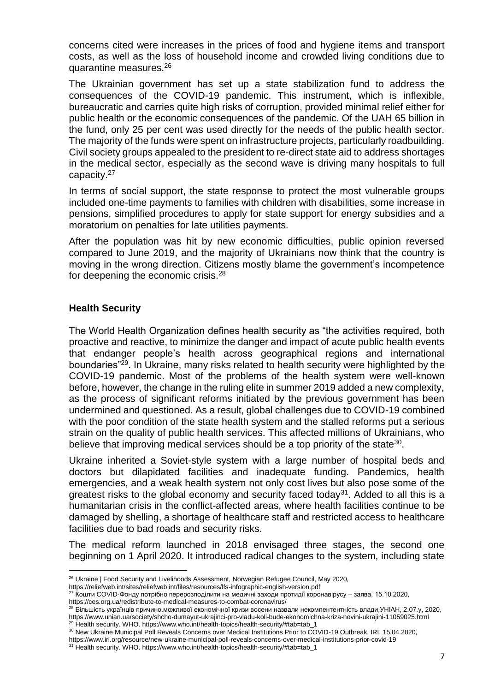concerns cited were increases in the prices of food and hygiene items and transport costs, as well as the loss of household income and crowded living conditions due to quarantine measures.<sup>26</sup>

The Ukrainian government has set up a state stabilization fund to address the consequences of the COVID-19 pandemic. This instrument, which is inflexible, bureaucratic and carries quite high risks of corruption, provided minimal relief either for public health or the economic consequences of the pandemic. Of the UAH 65 billion in the fund, only 25 per cent was used directly for the needs of the public health sector. The majority of the funds were spent on infrastructure projects, particularly roadbuilding. Civil society groups appealed to the president to re-direct state aid to address shortages in the medical sector, especially as the second wave is driving many hospitals to full capacity.<sup>27</sup>

In terms of social support, the state response to protect the most vulnerable groups included one-time payments to families with children with disabilities, some increase in pensions, simplified procedures to apply for state support for energy subsidies and a moratorium on penalties for late utilities payments.

After the population was hit by new economic difficulties, public opinion reversed compared to June 2019, and the majority of Ukrainians now think that the country is moving in the wrong direction. Citizens mostly blame the government's incompetence for deepening the economic crisis.<sup>28</sup>

#### <span id="page-7-0"></span>**Health Security**

The World Health Organization defines health security as "the activities required, both proactive and reactive, to minimize the danger and impact of acute public health events that endanger people's health across geographical regions and international boundaries"<sup>29</sup>. In Ukraine, many risks related to health security were highlighted by the COVID-19 pandemic. Most of the problems of the health system were well-known before, however, the change in the ruling elite in summer 2019 added a new complexity, as the process of significant reforms initiated by the previous government has been undermined and questioned. As a result, global challenges due to COVID-19 combined with the poor condition of the state health system and the stalled reforms put a serious strain on the quality of public health services. This affected millions of Ukrainians, who believe that improving medical services should be a top priority of the state<sup>30</sup>.

Ukraine inherited a Soviet-style system with a large number of hospital beds and doctors but dilapidated facilities and inadequate funding. Pandemics, health emergencies, and a weak health system not only cost lives but also pose some of the greatest risks to the global economy and security faced today<sup>31</sup>. Added to all this is a humanitarian crisis in the conflict-affected areas, where health facilities continue to be damaged by shelling, a shortage of healthcare staff and restricted access to healthcare facilities due to bad roads and security risks.

The medical reform launched in 2018 envisaged three stages, the second one beginning on 1 April 2020. It introduced radical changes to the system, including state

<sup>-</sup><sup>26</sup> Ukraine | Food Security and Livelihoods Assessment, Norwegian Refugee Council, May 2020,

https://reliefweb.int/sites/reliefweb.int/files/resources/lfs-infographic-english-version.pdf

 $^{27}$  Кошти COVID-Фонду потрібно перерозподілити на медичні заходи протидії коронавірусу – заява, 15.10.2020,

https://ces.org.ua/redistribute-to-medical-measures-to-combat-coronavirus/

<sup>&</sup>lt;sup>28</sup> Більшість українців причино.можливої економічної кризи восени назвали некомпентентність влади,УНІАН, 2.07.у, 2020, https://www.unian.ua/society/shcho-dumayut-ukrajinci-pro-vladu-koli-bude-ekonomichna-kriza-novini-ukrajini-11059025.html <sup>29</sup> Health security. WHO. https://www.who.int/health-topics/health-security/#tab=tab\_1

<sup>30</sup> New Ukraine Municipal Poll Reveals Concerns over Medical Institutions Prior to COVID-19 Outbreak, IRI, 15.04.2020,

https://www.iri.org/resource/new-ukraine-municipal-poll-reveals-concerns-over-medical-institutions-prior-covid-19

<sup>31</sup> Health security. WHO. https://www.who.int/health-topics/health-security/#tab=tab\_1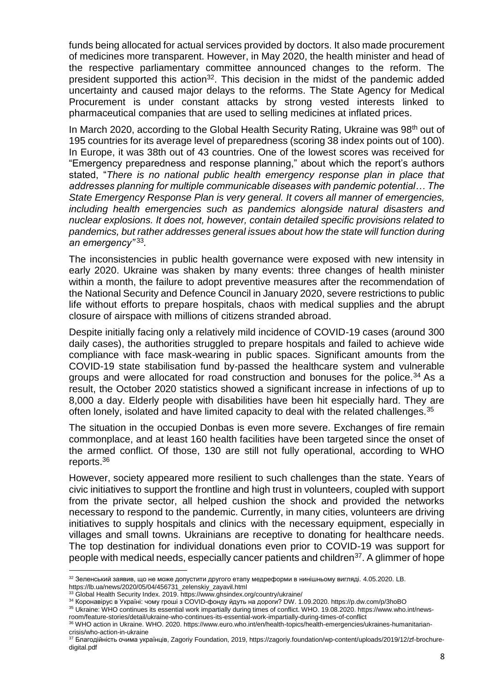funds being allocated for actual services provided by doctors. It also made procurement of medicines more transparent. However, in May 2020, the health minister and head of the respective parliamentary committee announced changes to the reform. The president supported this action<sup>32</sup>. This decision in the midst of the pandemic added uncertainty and caused major delays to the reforms. The State Agency for Medical Procurement is under constant attacks by strong vested interests linked to pharmaceutical companies that are used to selling medicines at inflated prices.

In March 2020, according to the Global Health Security Rating, Ukraine was 98<sup>th</sup> out of 195 countries for its average level of preparedness (scoring 38 index points out of 100). In Europe, it was 38th out of 43 countries. One of the lowest scores was received for "Emergency preparedness and response planning," about which the report's authors stated, "*There is no national public health emergency response plan in place that addresses planning for multiple communicable diseases with pandemic potential… The State Emergency Response Plan is very general. It covers all manner of emergencies, including health emergencies such as pandemics alongside natural disasters and nuclear explosions. It does not, however, contain detailed specific provisions related to pandemics, but rather addresses general issues about how the state will function during an emergency"* <sup>33</sup> *.*

The inconsistencies in public health governance were exposed with new intensity in early 2020. Ukraine was shaken by many events: three changes of health minister within a month, the failure to adopt preventive measures after the recommendation of the National Security and Defence Council in January 2020, severe restrictions to public life without efforts to prepare hospitals, chaos with medical supplies and the abrupt closure of airspace with millions of citizens stranded abroad.

Despite initially facing only a relatively mild incidence of COVID-19 cases (around 300 daily cases), the authorities struggled to prepare hospitals and failed to achieve wide compliance with face mask-wearing in public spaces. Significant amounts from the COVID-19 state stabilisation fund by-passed the healthcare system and vulnerable groups and were allocated for road construction and bonuses for the police.<sup>34</sup> As a result, the October 2020 statistics showed a significant increase in infections of up to 8,000 a day. Elderly people with disabilities have been hit especially hard. They are often lonely, isolated and have limited capacity to deal with the related challenges.<sup>35</sup>

The situation in the occupied Donbas is even more severe. Exchanges of fire remain commonplace, and at least 160 health facilities have been targeted since the onset of the armed conflict. Of those, 130 are still not fully operational, according to WHO reports.<sup>36</sup>

However, society appeared more resilient to such challenges than the state. Years of civic initiatives to support the frontline and high trust in volunteers, coupled with support from the private sector, all helped cushion the shock and provided the networks necessary to respond to the pandemic. Currently, in many cities, volunteers are driving initiatives to supply hospitals and clinics with the necessary equipment, especially in villages and small towns. Ukrainians are receptive to donating for healthcare needs. The top destination for individual donations even prior to COVID-19 was support for people with medical needs, especially cancer patients and children<sup>37</sup>. A glimmer of hope

-

<sup>32</sup> Зеленський заявив, що не може допустити другого етапу медреформи в нинішньому вигляді. 4.05.2020. LB. https://lb.ua/news/2020/05/04/456731\_zelenskiy\_zayavil.html

<sup>33</sup> Global Health Security Index. 2019. https://www.ghsindex.org/country/ukraine/

<sup>34</sup> Коронавірус в Україні: чому гроші з COVID-фонду йдуть на дороги? DW. 1.09.2020. https://p.dw.com/p/3hoBO

<sup>35</sup> Ukraine: WHO continues its essential work impartially during times of conflict. WHO. 19.08.2020. https://www.who.int/newsroom/feature-stories/detail/ukraine-who-continues-its-essential-work-impartially-during-times-of-conflict

<sup>36</sup> WHO action in Ukraine. WHO. 2020. https://www.euro.who.int/en/health-topics/health-emergencies/ukraines-humanitariancrisis/who-action-in-ukraine

<sup>&</sup>lt;sup>37</sup> Благодійність очима українців, Zagoriy Foundation, 2019, https://zagoriy.foundation/wp-content/uploads/2019/12/zf-brochuredigital.pdf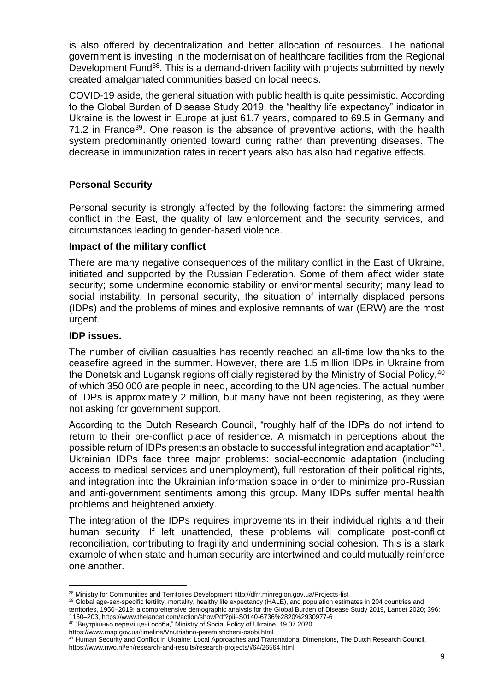is also offered by decentralization and better allocation of resources. The national government is investing in the modernisation of healthcare facilities from the Regional Development Fund<sup>38</sup>. This is a demand-driven facility with projects submitted by newly created amalgamated communities based on local needs.

COVID-19 aside, the general situation with public health is quite pessimistic. According to the Global Burden of Disease Study 2019, the "healthy life expectancy" indicator in Ukraine is the lowest in Europe at just 61.7 years, compared to 69.5 in Germany and 71.2 in France<sup>39</sup>. One reason is the absence of preventive actions, with the health system predominantly oriented toward curing rather than preventing diseases. The decrease in immunization rates in recent years also has also had negative effects.

#### <span id="page-9-0"></span>**Personal Security**

Personal security is strongly affected by the following factors: the simmering armed conflict in the East, the quality of law enforcement and the security services, and circumstances leading to gender-based violence.

#### **Impact of the military conflict**

There are many negative consequences of the military conflict in the East of Ukraine, initiated and supported by the Russian Federation. Some of them affect wider state security; some undermine economic stability or environmental security; many lead to social instability. In personal security, the situation of internally displaced persons (IDPs) and the problems of mines and explosive remnants of war (ERW) are the most urgent.

#### **IDP issues.**

The number of civilian casualties has recently reached an all-time low thanks to the ceasefire agreed in the summer. However, there are 1.5 million IDPs in Ukraine from the Donetsk and Lugansk regions officially registered by the Ministry of Social Policy, 40 of which 350 000 are people in need, according to the UN agencies. The actual number of IDPs is approximately 2 million, but many have not been registering, as they were not asking for government support.

According to the Dutch Research Council, "roughly half of the IDPs do not intend to return to their pre-conflict place of residence. A mismatch in perceptions about the possible return of IDPs presents an obstacle to successful integration and adaptation"<sup>41</sup> . Ukrainian IDPs face three major problems: social-economic adaptation (including access to medical services and unemployment), full restoration of their political rights, and integration into the Ukrainian information space in order to minimize pro-Russian and anti-government sentiments among this group. Many IDPs suffer mental health problems and heightened anxiety.

The integration of the IDPs requires improvements in their individual rights and their human security. If left unattended, these problems will complicate post-conflict reconciliation, contributing to fragility and undermining social cohesion. This is a stark example of when state and human security are intertwined and could mutually reinforce one another.

territories, 1950–2019: a comprehensive demographic analysis for the Global Burden of Disease Study 2019, Lancet 2020; 396: 1160–203, https://www.thelancet.com/action/showPdf?pii=S0140-6736%2820%2930977-6 40 "Внутрішньо переміщені особи," Ministry of Social Policy of Ukraine, 19.07.2020,

<sup>-</sup><sup>38</sup> Ministry for Communities and Territories Development http://dfrr.minregion.gov.ua/Projects-list

<sup>39</sup> Global age-sex-specific fertility, mortality, healthy life expectancy (HALE), and population estimates in 204 countries and

https://www.msp.gov.ua/timeline/Vnutrishno-peremishcheni-osobi.html

<sup>&</sup>lt;sup>41</sup> Human Security and Conflict in Ukraine: Local Approaches and Transnational Dimensions, The Dutch Research Council, https://www.nwo.nl/en/research-and-results/research-projects/i/64/26564.html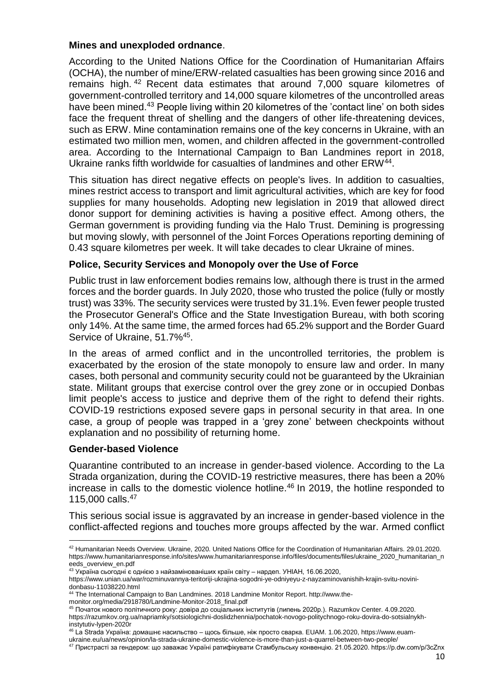#### **Mines and unexploded ordnance**.

According to the United Nations Office for the Coordination of Humanitarian Affairs (OCHA), the number of mine/ERW-related casualties has been growing since 2016 and remains high. <sup>42</sup> Recent data estimates that around 7,000 square kilometres of government-controlled territory and 14,000 square kilometres of the uncontrolled areas have been mined.<sup>43</sup> People living within 20 kilometres of the 'contact line' on both sides face the frequent threat of shelling and the dangers of other life-threatening devices, such as ERW. Mine contamination remains one of the key concerns in Ukraine, with an estimated two million men, women, and children affected in the government-controlled area. According to the International Campaign to Ban Landmines report in 2018, Ukraine ranks fifth worldwide for casualties of landmines and other ERW<sup>44</sup>.

This situation has direct negative effects on people's lives. In addition to casualties, mines restrict access to transport and limit agricultural activities, which are key for food supplies for many households. Adopting new legislation in 2019 that allowed direct donor support for demining activities is having a positive effect. Among others, the German government is providing funding via the Halo Trust. Demining is progressing but moving slowly, with personnel of the Joint Forces Operations reporting demining of 0.43 square kilometres per week. It will take decades to clear Ukraine of mines.

#### **Police, Security Services and Monopoly over the Use of Force**

Public trust in law enforcement bodies remains low, although there is trust in the armed forces and the border guards. In July 2020, those who trusted the police (fully or mostly trust) was 33%. The security services were trusted by 31.1%. Even fewer people trusted the Prosecutor General's Office and the State Investigation Bureau, with both scoring only 14%. At the same time, the armed forces had 65.2% support and the Border Guard Service of Ukraine, 51.7%<sup>45</sup>.

In the areas of armed conflict and in the uncontrolled territories, the problem is exacerbated by the erosion of the state monopoly to ensure law and order. In many cases, both personal and community security could not be guaranteed by the Ukrainian state. Militant groups that exercise control over the grey zone or in occupied Donbas limit people's access to justice and deprive them of the right to defend their rights. COVID-19 restrictions exposed severe gaps in personal security in that area. In one case, a group of people was trapped in a 'grey zone' between checkpoints without explanation and no possibility of returning home.

#### **Gender-based Violence**

Quarantine contributed to an increase in gender-based violence. According to the La Strada organization, during the COVID-19 restrictive measures, there has been a 20% increase in calls to the domestic violence hotline.<sup>46</sup> In 2019, the hotline responded to 115,000 calls.<sup>47</sup>

This serious social issue is aggravated by an increase in gender-based violence in the conflict-affected regions and touches more groups affected by the war. Armed conflict

<sup>-</sup><sup>42</sup> Humanitarian Needs Overview. Ukraine, 2020. United Nations Office for the Coordination of Humanitarian Affairs. 29.01.2020. https://www.humanitarianresponse.info/sites/www.humanitarianresponse.info/files/documents/files/ukraine\_2020\_humanitarian\_n eeds\_overview\_en.pdf

 $43$  Україна сьогодні є однією з найзамінованіших країн світу – нардеп. УНІАН, 16.06.2020,

https://www.unian.ua/war/rozminuvannya-teritoriji-ukrajina-sogodni-ye-odniyeyu-z-nayzaminovanishih-krajin-svitu-novinidonbasu-11038220.html

<sup>&</sup>lt;sup>44</sup> The International Campaign to Ban Landmines. 2018 Landmine Monitor Report. http://www.the-

monitor.org/media/2918780/Landmine-Monitor-2018\_final.pdf

<sup>45</sup> Початок нового політичного року: довіра до соціальних інститутів (липень 2020р.). Razumkov Center. 4.09.2020. https://razumkov.org.ua/napriamky/sotsiologichni-doslidzhennia/pochatok-novogo-politychnogo-roku-dovira-do-sotsialnykhinstytutiv-lypen-2020r

<sup>46</sup> La Strada Україна: домашнє насильство – щось більше, ніж просто сварка. EUAM. 1.06.2020, https://www.euam-

ukraine.eu/ua/news/opinion/la-strada-ukraine-domestic-violence-is-more-than-just-a-quarrel-between-two-people/ <sup>47</sup> Пристрасті за гендером: що заважає Україні ратифікувати Стамбульську конвенцію. 21.05.2020. https://p.dw.com/p/3cZnx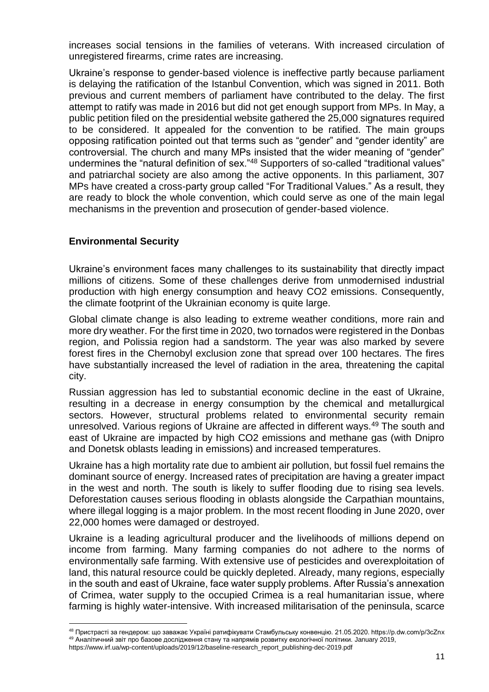increases social tensions in the families of veterans. With increased circulation of unregistered firearms, crime rates are increasing.

Ukraine's response to gender-based violence is ineffective partly because parliament is delaying the ratification of the Istanbul Convention, which was signed in 2011. Both previous and current members of parliament have contributed to the delay. The first attempt to ratify was made in 2016 but did not get enough support from MPs. In May, a public petition filed on the presidential website gathered the 25,000 signatures required to be considered. It appealed for the convention to be ratified. The main groups opposing ratification pointed out that terms such as "gender" and "gender identity" are controversial. The church and many MPs insisted that the wider meaning of "gender" undermines the "natural definition of sex."<sup>48</sup> Supporters of so-called "traditional values" and patriarchal society are also among the active opponents. In this parliament, 307 MPs have created a cross-party group called "For Traditional Values." As a result, they are ready to block the whole convention, which could serve as one of the main legal mechanisms in the prevention and prosecution of gender-based violence.

#### <span id="page-11-0"></span>**Environmental Security**

 $\overline{a}$ 

Ukraine's environment faces many challenges to its sustainability that directly impact millions of citizens. Some of these challenges derive from unmodernised industrial production with high energy consumption and heavy CO2 emissions. Consequently, the climate footprint of the Ukrainian economy is quite large.

Global climate change is also leading to extreme weather conditions, more rain and more dry weather. For the first time in 2020, two tornados were registered in the Donbas region, and Polissia region had a sandstorm. The year was also marked by severe forest fires in the Chernobyl exclusion zone that spread over 100 hectares. The fires have substantially increased the level of radiation in the area, threatening the capital city.

Russian aggression has led to substantial economic decline in the east of Ukraine, resulting in a decrease in energy consumption by the chemical and metallurgical sectors. However, structural problems related to environmental security remain unresolved. Various regions of Ukraine are affected in different ways.<sup>49</sup> The south and east of Ukraine are impacted by high CO2 emissions and methane gas (with Dnipro and Donetsk oblasts leading in emissions) and increased temperatures.

Ukraine has a high mortality rate due to ambient air pollution, but fossil fuel remains the dominant source of energy. Increased rates of precipitation are having a greater impact in the west and north. The south is likely to suffer flooding due to rising sea levels. Deforestation causes serious flooding in oblasts alongside the Carpathian mountains, where illegal logging is a major problem. In the most recent flooding in June 2020, over 22,000 homes were damaged or destroyed.

Ukraine is a leading agricultural producer and the livelihoods of millions depend on income from farming. Many farming companies do not adhere to the norms of environmentally safe farming. With extensive use of pesticides and overexploitation of land, this natural resource could be quickly depleted. Already, many regions, especially in the south and east of Ukraine, face water supply problems. After Russia's annexation of Crimea, water supply to the occupied Crimea is a real humanitarian issue, where farming is highly water-intensive. With increased militarisation of the peninsula, scarce

<sup>48</sup> Пристрасті за гендером: що заважає Україні ратифікувати Стамбульську конвенцію. 21.05.2020. https://p.dw.com/p/3cZnx <sup>49</sup> Аналітичний звіт про базове дослідження стану та напрямів розвитку екологічної політики. January 2019, https://www.irf.ua/wp-content/uploads/2019/12/baseline-research\_report\_publishing-dec-2019.pdf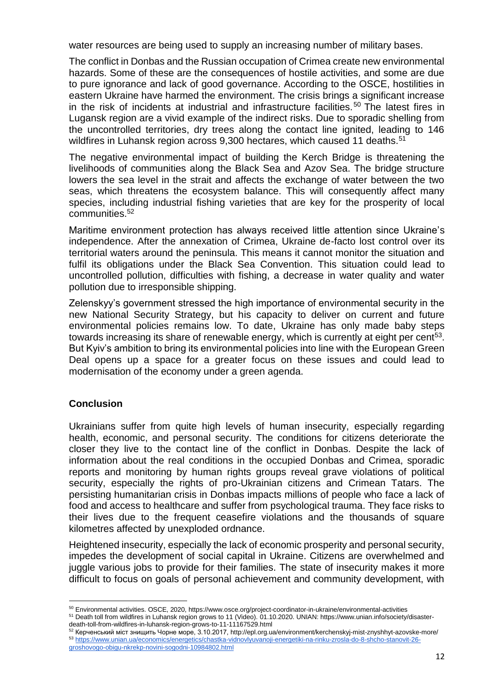water resources are being used to supply an increasing number of military bases.

The conflict in Donbas and the Russian occupation of Crimea create new environmental hazards. Some of these are the consequences of hostile activities, and some are due to pure ignorance and lack of good governance. According to the OSCE, hostilities in eastern Ukraine have harmed the environment. The crisis brings a significant increase in the risk of incidents at industrial and infrastructure facilities.<sup>50</sup> The latest fires in Lugansk region are a vivid example of the indirect risks. Due to sporadic shelling from the uncontrolled territories, dry trees along the contact line ignited, leading to 146 wildfires in Luhansk region across 9,300 hectares, which caused 11 deaths.<sup>51</sup>

The negative environmental impact of building the Kerch Bridge is threatening the livelihoods of communities along the Black Sea and Azov Sea. The bridge structure lowers the sea level in the strait and affects the exchange of water between the two seas, which threatens the ecosystem balance. This will consequently affect many species, including industrial fishing varieties that are key for the prosperity of local communities.<sup>52</sup>

Maritime environment protection has always received little attention since Ukraine's independence. After the annexation of Crimea, Ukraine de-facto lost control over its territorial waters around the peninsula. This means it cannot monitor the situation and fulfil its obligations under the Black Sea Convention. This situation could lead to uncontrolled pollution, difficulties with fishing, a decrease in water quality and water pollution due to irresponsible shipping.

Zelenskyy's government stressed the high importance of environmental security in the new National Security Strategy, but his capacity to deliver on current and future environmental policies remains low. To date, Ukraine has only made baby steps towards increasing its share of renewable energy, which is currently at eight per cent<sup>53</sup>. But Kyiv's ambition to bring its environmental policies into line with the European Green Deal opens up a space for a greater focus on these issues and could lead to modernisation of the economy under a green agenda.

#### <span id="page-12-0"></span>**Conclusion**

Ukrainians suffer from quite high levels of human insecurity, especially regarding health, economic, and personal security. The conditions for citizens deteriorate the closer they live to the contact line of the conflict in Donbas. Despite the lack of information about the real conditions in the occupied Donbas and Crimea, sporadic reports and monitoring by human rights groups reveal grave violations of political security, especially the rights of pro-Ukrainian citizens and Crimean Tatars. The persisting humanitarian crisis in Donbas impacts millions of people who face a lack of food and access to healthcare and suffer from psychological trauma. They face risks to their lives due to the frequent ceasefire violations and the thousands of square kilometres affected by unexploded ordnance.

Heightened insecurity, especially the lack of economic prosperity and personal security, impedes the development of social capital in Ukraine. Citizens are overwhelmed and juggle various jobs to provide for their families. The state of insecurity makes it more difficult to focus on goals of personal achievement and community development, with

<sup>-</sup><sup>50</sup> Environmental activities. OSCE, 2020, https://www.osce.org/project-coordinator-in-ukraine/environmental-activities

<sup>51</sup> Death toll from wildfires in Luhansk region grows to 11 (Video). 01.10.2020. UNIAN: https://www.unian.info/society/disasterdeath-toll-from-wildfires-in-luhansk-region-grows-to-11-11167529.html

<sup>52</sup> Керченський міст знищить Чорне море, 3.10.2017, http://epl.org.ua/environment/kerchenskyj-mist-znyshhyt-azovske-more/ <sup>53</sup> [https://www.unian.ua/economics/energetics/chastka-vidnovlyuvanoji-energetiki-na-rinku-zrosla-do-8-shcho-stanovit-26](https://www.unian.ua/economics/energetics/chastka-vidnovlyuvanoji-energetiki-na-rinku-zrosla-do-8-shcho-stanovit-26-groshovogo-obigu-nkrekp-novini-sogodni-10984802.html) [groshovogo-obigu-nkrekp-novini-sogodni-10984802.html](https://www.unian.ua/economics/energetics/chastka-vidnovlyuvanoji-energetiki-na-rinku-zrosla-do-8-shcho-stanovit-26-groshovogo-obigu-nkrekp-novini-sogodni-10984802.html)